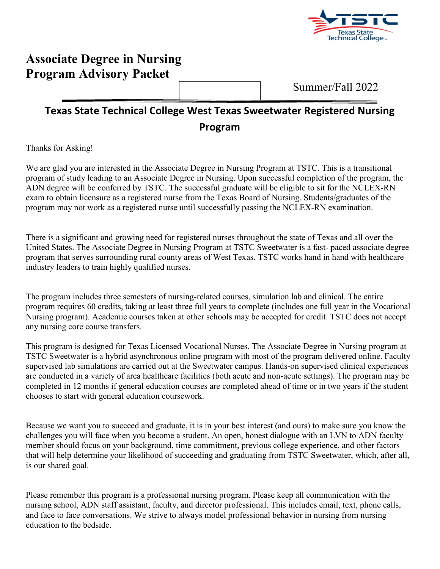

# **Associate Degree in Nursing Program Advisory Packet**

Summer/Fall 2022

# **Texas State Technical College West Texas Sweetwater Registered Nursing Program**

Thanks for Asking!

We are glad you are interested in the Associate Degree in Nursing Program at TSTC. This is a transitional program of study leading to an Associate Degree in Nursing. Upon successful completion of the program, the ADN degree will be conferred by TSTC. The successful graduate will be eligible to sit for the NCLEX-RN exam to obtain licensure as a registered nurse from the Texas Board of Nursing. Students/graduates of the program may not work as a registered nurse until successfully passing the NCLEX-RN examination.

There is a significant and growing need for registered nurses throughout the state of Texas and all over the United States. The Associate Degree in Nursing Program at TSTC Sweetwater is a fast- paced associate degree program that serves surrounding rural county areas of West Texas. TSTC works hand in hand with healthcare industry leaders to train highly qualified nurses.

The program includes three semesters of nursing-related courses, simulation lab and clinical. The entire program requires 60 credits, taking at least three full years to complete (includes one full year in the Vocational Nursing program). Academic courses taken at other schools may be accepted for credit. TSTC does not accept any nursing core course transfers.

This program is designed for Texas Licensed Vocational Nurses. The Associate Degree in Nursing program at TSTC Sweetwater is a hybrid asynchronous online program with most of the program delivered online. Faculty supervised lab simulations are carried out at the Sweetwater campus. Hands-on supervised clinical experiences are conducted in a variety of area healthcare facilities (both acute and non-acute settings). The program may be completed in 12 months if general education courses are completed ahead of time or in two years if the student chooses to start with general education coursework.

Because we want you to succeed and graduate, it is in your best interest (and ours) to make sure you know the challenges you will face when you become a student. An open, honest dialogue with an LVN to ADN faculty member should focus on your background, time commitment, previous college experience, and other factors that will help determine your likelihood of succeeding and graduating from TSTC Sweetwater, which, after all, is our shared goal.

Please remember this program is a professional nursing program. Please keep all communication with the nursing school, ADN staff assistant, faculty, and director professional. This includes email, text, phone calls, and face to face conversations. We strive to always model professional behavior in nursing from nursing education to the bedside.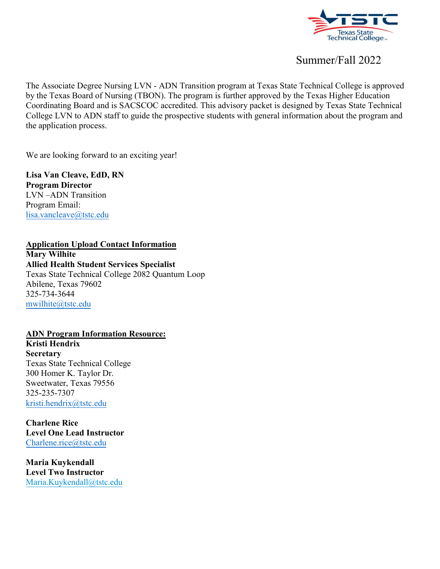

The Associate Degree Nursing LVN - ADN Transition program at Texas State Technical College is approved by the Texas Board of Nursing (TBON). The program is further approved by the Texas Higher Education Coordinating Board and is SACSCOC accredited. This advisory packet is designed by Texas State Technical College LVN to ADN staff to guide the prospective students with general information about the program and the application process.

We are looking forward to an exciting year!

**Lisa Van Cleave, EdD, RN Program Director** LVN –ADN Transition Program Email: [lisa.vancleave@tstc.edu](mailto:lisa.vancleave@tstc.edu)

### **Application Upload Contact Information**

**Mary Wilhite Allied Health Student Services Specialist** Texas State Technical College 2082 Quantum Loop Abilene, Texas 79602 325-734-3644 [mwilhite@tstc.edu](mailto:mwilhite@tstc.edu)

#### **ADN Program Information Resource:**

**Kristi Hendrix Secretary** Texas State Technical College 300 Homer K. Taylor Dr. Sweetwater, Texas 79556 325-235-7307 [kristi.hendrix@tstc.edu](mailto:kristi.hendrix@tstc.edu)

**Charlene Rice Level One Lead Instructor** [Charlene.rice@tstc.edu](mailto:Charlene.rice@tstc.edu)

**Maria Kuykendall Level Two Instructor**  [Maria.Kuykendall@tstc.edu](mailto:Maria.Kuykendall@tstc.edu)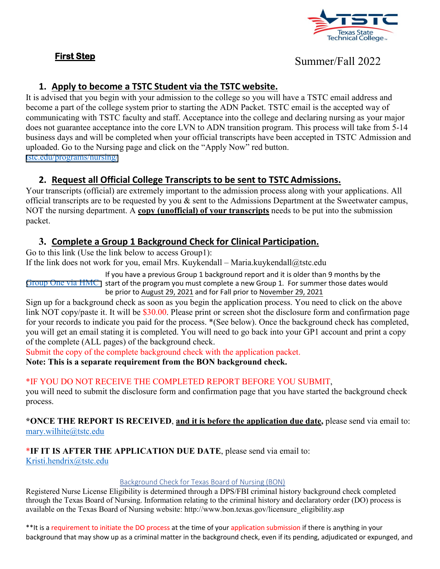#### **First Step**



# Summer/Fall 2022

### **1. Apply to become a TSTC Student via the TSTC website.**

It is advised that you begin with your admission to the college so you will have a TSTC email address and become a part of the college system prior to starting the ADN Packet. TSTC email is the accepted way of communicating with TSTC faculty and staff. Acceptance into the college and declaring nursing as your major does not guarantee acceptance into the core LVN to ADN transition program. This process will take from 5-14 business days and will be completed when your official transcripts have been accepted in TSTC Admission and uploaded. Go to the Nursing page and click on the "Apply Now" red button. [tstc.edu/programs/nursing/](https://www.tstc.edu/programs/nursing/)

### **2. Request all Official College Transcripts to be sent to TSTC Admissions.**

Your transcripts (official) are extremely important to the admission process along with your applications. All official transcripts are to be requested by you  $\&$  sent to the Admissions Department at the Sweetwater campus, NOT the nursing department. A **copy (unofficial) of your transcripts** needs to be put into the submission packet.

### **3. Complete a Group 1 Background Check for Clinical Participation.**

Go to this link (Use the link below to access Group1): If the link does not work for you, email Mrs. Kuykendall – Maria.kuykendall@tstc.edu

If you have a previous Group 1 background report and it is older than 9 months by the  $Group One via HMC$  start of the program you must complete a new Group 1. For summer those dates would be prior to August 29, 2021 and for Fall prior to November 29, 2021

Sign up for a background check as soon as you begin the application process. You need to click on the above link NOT copy/paste it. It will be \$30.00. Please print or screen shot the disclosure form and confirmation page for your records to indicate you paid for the process. \*(See below). Once the background check has completed, you will get an email stating it is completed. You will need to go back into your GP1 account and print a copy of the complete (ALL pages) of the background check.

Submit the copy of the complete background check with the application packet.

**Note: This is a separate requirement from the BON background check.**

### \*IF YOU DO NOT RECEIVE THE COMPLETED REPORT BEFORE YOU SUBMIT,

you will need to submit the disclosure form and confirmation page that you have started the background check process.

**\*ONCE THE REPORT IS RECEIVED**, **and it is before the application due date,** please send via email to: [mary.wilhite@tstc.edu](mailto:mary.wilhite@tstc.edu)

#### \***IF IT IS AFTER THE APPLICATION DUE DATE**, please send via email to:

[Kristi.hendrix@tstc.edu](mailto:Kristi.hendrix@tstc.edu)

#### Background Check for Texas Board of Nursing (BON)

Registered Nurse License Eligibility is determined through a DPS/FBI criminal history background check completed through the Texas Board of Nursing. Information relating to the criminal history and declaratory order (DO) process is available on the Texas Board of Nursing website: [http://www.bon.texas.gov/licensure\\_eligibility.asp](http://www.bon.texas.gov/licensure_eligibility.asp)

\*\*It is a requirement to initiate the DO process at the time of your application submission if there is anything in your background that may show up as a criminal matter in the background check, even if its pending, adjudicated or expunged, and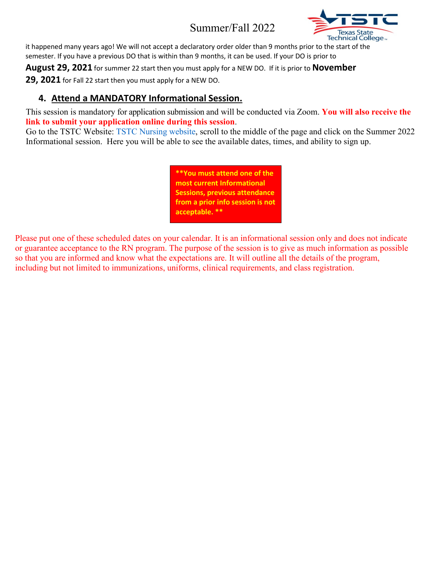

it happened many years ago! We will not accept a declaratory order older than 9 months prior to the start of the semester. If you have a previous DO that is within than 9 months, it can be used. If your DO is prior to

**August 29, 2021** for summer 22 start then you must apply for a NEW DO. If it is prior to **November** 

**29, 2021** for Fall 22 start then you must apply for a NEW DO.

### **4. Attend a MANDATORY Informational Session.**

This session is mandatory for application submission and will be conducted via Zoom. **You will also receive the link to submit your application online during this session**.

Go to the TSTC Website: TSTC Nursing website, scroll to the middle of the page and click on the Summer 2022 Informational session. Here you will be able to see the available dates, times, and ability to sign up.

> **\*\*You must attend one of the most current Informational Sessions, previous attendance from a prior info session is not acceptable. \*\***

Please put one of these scheduled dates on your calendar. It is an informational session only and does not indicate or guarantee acceptance to the RN program. The purpose of the session is to give as much information as possible so that you are informed and know what the expectations are. It will outline all the details of the program, including but not limited to immunizations, uniforms, clinical requirements, and class registration.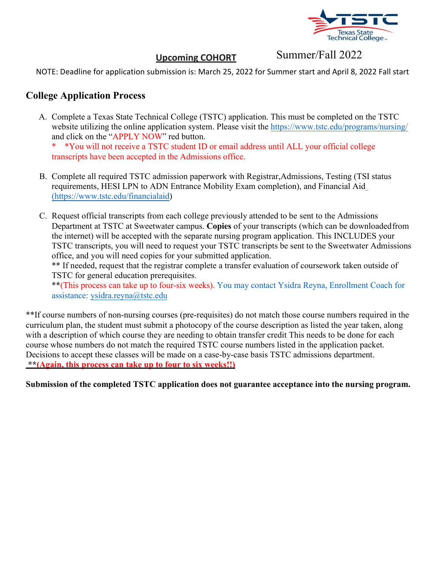

### **Upcoming COHORT**

Summer/Fall 2022

NOTE: Deadline for application submission is: March 25, 2022 for Summer start and April 8, 2022 Fall start

### **College Application Process**

A. Complete a Texas State Technical College (TSTC) application. This must be completed on the TSTC website utilizing the online application system. Please visit the https:/[/www.tstc.edu/programs/nursing/](http://www.tstc.edu/programs/nursing/) and click on the "APPLY NOW" red button.

\* \*You will not receive a TSTC student ID or email address until ALL your official college transcripts have been accepted in the Admissions office.

- B. Complete all required TSTC admission paperwork with Registrar,Admissions, Testing (TSI status requirements, HESI LPN to ADN Entrance Mobility Exam completion), and Financial Aid (http[s://www.tstc.edu/financialaid\)](http://www.tstc.edu/financialaid))
- C. Request official transcripts from each college previously attended to be sent to the Admissions Department at TSTC at Sweetwater campus. **Copies** of your transcripts (which can be downloaded from the internet) will be accepted with the separate nursing program application. This INCLUDES your TSTC transcripts, you will need to request your TSTC transcripts be sent to the Sweetwater Admissions office, and you will need copies for your submitted application.

\*\* If needed, request that the registrar complete a transfer evaluation of coursework taken outside of TSTC for general education prerequisites.

\*\*(This process can take up to four-six weeks). You may contact Ysidra Reyna, Enrollment Coach for assistance: [ysidra.reyna@tstc.edu](mailto:ysidra.reyna@tstc.edu)

\*\*If course numbers of non-nursing courses (pre-requisites) do not match those course numbers required in the curriculum plan, the student must submit a photocopy of the course description as listed the year taken, along with a description of which course they are needing to obtain transfer credit This needs to be done for each course whose numbers do not match the required TSTC course numbers listed in the application packet. Decisions to accept these classes will be made on a case-by-case basis TSTC admissions department.  **\*\*(Again, this process can take up to four to six weeks!!)**

**Submission of the completed TSTC application does not guarantee acceptance into the nursing program.**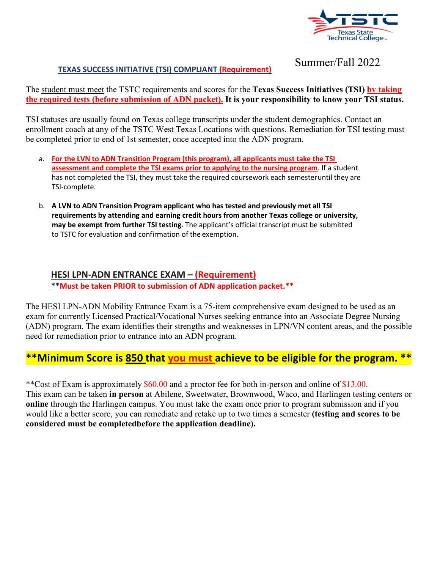

#### **TEXAS SUCCESS INITIATIVE (TSI) COMPLIANT (Requirement)**

Summer/Fall 2022

The student must meet the TSTC requirements and scores for the **Texas Success Initiatives (TSI) by taking the required tests (before submission of ADN packet). It is your responsibility to know your TSI status.**

TSI statuses are usually found on Texas college transcripts under the student demographics. Contact an enrollment coach at any of the TSTC West Texas Locations with questions. Remediation for TSI testing must be completed prior to end of 1st semester, once accepted into the ADN program.

- a. **For the LVN to ADN Transition Program (this program), all applicants must take the TSI assessment and complete the TSI exams prior to applying to the nursing program**. If a student has not completed the TSI, they must take the required coursework each semesteruntil they are TSI-complete.
- b. **A LVN to ADN Transition Program applicant who has tested and previously met all TSI requirements by attending and earning credit hours from another Texas college or university, may be exempt from further TSI testing**. The applicant's official transcript must be submitted to TSTC for evaluation and confirmation of the exemption.

#### **HESI LPN-ADN ENTRANCE EXAM – (Requirement) \*\*Must be taken PRIOR to submission of ADN application packet.\*\***

The HESI LPN-ADN Mobility Entrance Exam is a 75-item comprehensive exam designed to be used as an exam for currently Licensed Practical/Vocational Nurses seeking entrance into an Associate Degree Nursing (ADN) program. The exam identifies their strengths and weaknesses in LPN/VN content areas, and the possible need for remediation prior to entrance into an ADN program.

## **\*\*Minimum Score is 850 that you must achieve to be eligible for the program. \*\***

\*\*Cost of Exam is approximately \$60.00 and a proctor fee for both in-person and online of \$13.00. This exam can be taken **in person** at Abilene, Sweetwater, Brownwood, Waco, and Harlingen testing centers or **online** through the Harlingen campus. You must take the exam once prior to program submission and if you would like a better score, you can remediate and retake up to two times a semester **(testing and scores to be considered must be completedbefore the application deadline).**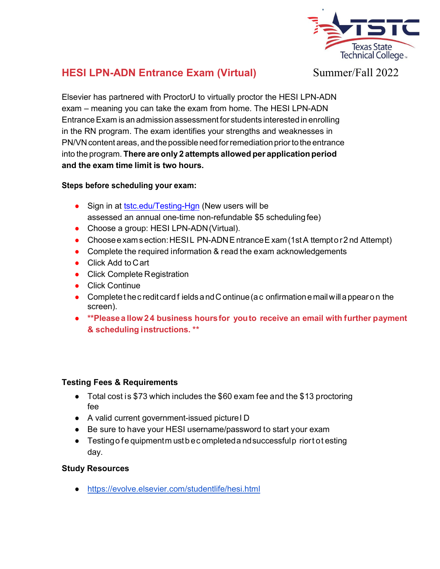

## **HESI LPN-ADN Entrance Exam (Virtual)**

Summer/Fall 2022

Elsevier has partnered with ProctorU to virtually proctor the HESI LPN-ADN exam – meaning you can take the exam from home. The HESI LPN-ADN EntranceExam is an admission assessment for students interested in enrolling in the RN program. The exam identifies your strengths and weaknesses in PN/VN content areas, and the possible need for remediation prior to the entrance into the program. **There are only 2 attempts allowed per applicationperiod and the exam time limit is two hours.** 

#### **Steps before scheduling your exam:**

- Sign in at tstc.edu/Testing-Hgn (New users will be assessed an annual one-time non-refundable \$5 scheduling fee)
- Choose a group: HESI LPN-ADN (Virtual).
- Choose e xam s ection: HESIL PN-ADN E ntrance E xam (1st A ttempt o r 2 nd Attempt)
- Complete the required information & read the exam acknowledgements
- Click Add to Cart
- Click Complete Registration
- Click Continue
- $\bullet$  Complete t he c redit card fields and C ontinue (a c onfirmation e mail will a ppear on the screen).
- **\*\*Please a llow 24 business hours for you to receive an email with further payment & scheduling instructions. \*\***

#### **Testing Fees & Requirements**

- Total cost is \$73 which includes the \$60 exam fee and the \$13 proctoring fee
- A valid current government-issued picture I D
- Be sure to have your HESI username/password to start your exam
- Testing of e quipment m ust be completed a nd successful p riort ot esting day.

#### **Study Resources**

https://evolve.elsevier.com/studentlife/hesi.html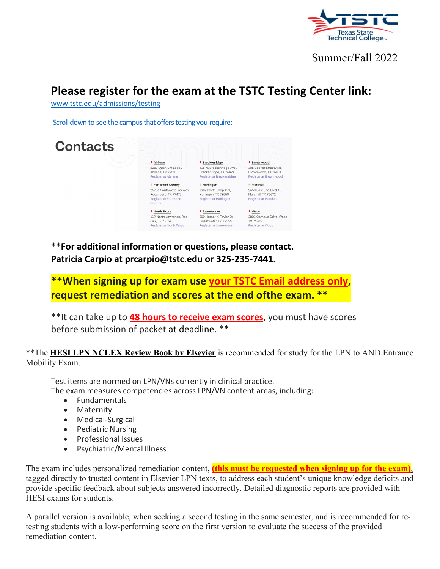

# **Please register for the exam at the TSTC Testing Center link:**

[www.tstc.edu/admissions/testing](http://www.tstc.edu/admissions/testing)

Scroll down to see the campus that offers testing you require:



**\*\*For additional information or questions, please contact. Patricia Carpio at [prcarpio@tstc.edu o](mailto:prcarpio@tstc.edu)r 325-235-7441.**

**\*\*When signing up for exam use your TSTC Email address only, request remediation and scores at the end ofthe exam. \*\***

\*\*It can take up to **48 hours to receive exam scores**, you must have scores before submission of packet at deadline. \*\*

#### \*\*The **HESI LPN NCLEX Review Book by Elsevier** is recommended for study for the LPN to AND Entrance Mobility Exam.

Test items are normed on LPN/VNs currently in clinical practice. The exam measures competencies across LPN/VN content areas, including:

- Fundamentals
- Maternity
- Medical-Surgical
- Pediatric Nursing
- Professional Issues
- Psychiatric/Mental Illness

The exam includes personalized remediation content**, (this must be requested when signing up for the exam)**, tagged directly to trusted content in Elsevier LPN texts, to address each student's unique knowledge deficits and provide specific feedback about subjects answered incorrectly. Detailed diagnostic reports are provided with HESI exams for students.

A parallel version is available, when seeking a second testing in the same semester, and is recommended for retesting students with a low-performing score on the first version to evaluate the success of the provided remediation content.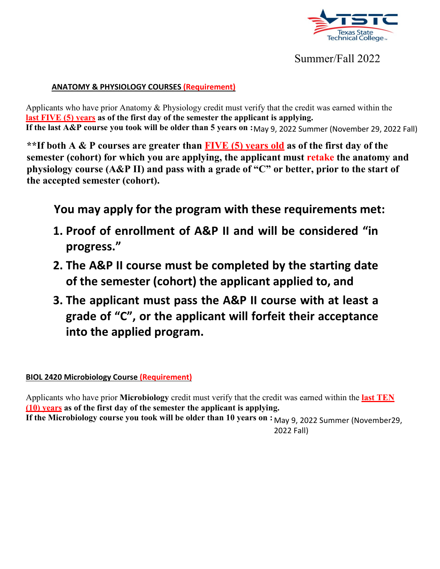

#### **ANATOMY & PHYSIOLOGY COURSES (Requirement)**

**If the last A&P course you took will be older than 5 years on :**May 9, 2022 Summer (November 29, 2022 Fall) Applicants who have prior Anatomy & Physiology credit must verify that the credit was earned within the **last FIVE (5) years as of the first day of the semester the applicant is applying.** 

**\*\*If both A & P courses are greater than FIVE (5) years old as of the first day of the semester (cohort) for which you are applying, the applicant must retake the anatomy and physiology course (A&P II) and pass with a grade of "C" or better, prior to the start of the accepted semester (cohort).**

**You may apply for the program with these requirements met:**

- **1. Proof of enrollment of A&P II and will be considered "in progress."**
- **2. The A&P II course must be completed by the starting date of the semester (cohort) the applicant applied to, and**
- **3. The applicant must pass the A&P II course with at least a grade of "C", or the applicant will forfeit their acceptance into the applied program.**

**BIOL 2420 Microbiology Course (Requirement)**

If the Microbiology course you took will be older than 10 years on : <sub>May 9,</sub> 2022 Summer (November29, 2022 Fall) Applicants who have prior **Microbiology** credit must verify that the credit was earned within the **last TEN (10) years as of the first day of the semester the applicant is applying.**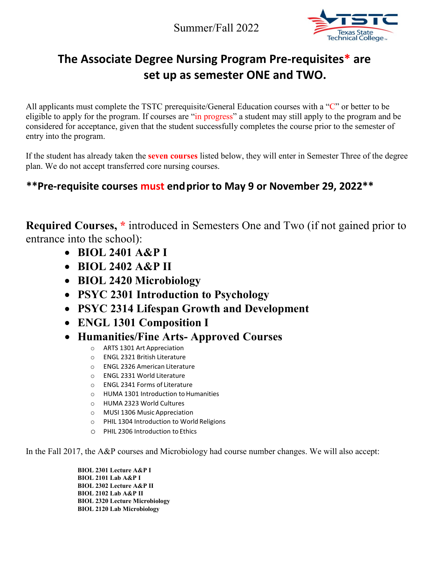

# **The Associate Degree Nursing Program Pre-requisites\* are set up as semester ONE and TWO.**

All applicants must complete the TSTC prerequisite/General Education courses with a "C" or better to be eligible to apply for the program. If courses are "in progress" a student may still apply to the program and be considered for acceptance, given that the student successfully completes the course prior to the semester of entry into the program.

If the student has already taken the **seven courses** listed below, they will enter in Semester Three of the degree plan. We do not accept transferred core nursing courses.

# **\*\*Pre-requisite courses must endprior to May 9 or November 29, 2022\*\***

**Required Courses, \*** introduced in Semesters One and Two (if not gained prior to entrance into the school):

- **BIOL 2401 A&P I**
- **BIOL 2402 A&P II**
- **BIOL 2420 Microbiology**
- **PSYC 2301 Introduction to Psychology**
- **PSYC 2314 Lifespan Growth and Development**
- **ENGL 1301 Composition I**
- **Humanities/Fine Arts- Approved Courses**
	- o ARTS 1301 Art Appreciation
	- o ENGL 2321 British Literature
	- o ENGL 2326 American Literature
	- o ENGL 2331 World Literature
	- o ENGL 2341 Forms of Literature
	- o HUMA 1301 Introduction toHumanities
	- o HUMA 2323 World Cultures
	- o MUSI 1306 Music Appreciation
	- o PHIL 1304 Introduction to World Religions
	- o PHIL 2306 Introduction to Ethics

In the Fall 2017, the A&P courses and Microbiology had course number changes. We will also accept:

**BIOL 2301 Lecture A&P I BIOL 2101 Lab A&P I BIOL 2302 Lecture A&P II BIOL 2102 Lab A&P II BIOL 2320 Lecture Microbiology BIOL 2120 Lab Microbiology**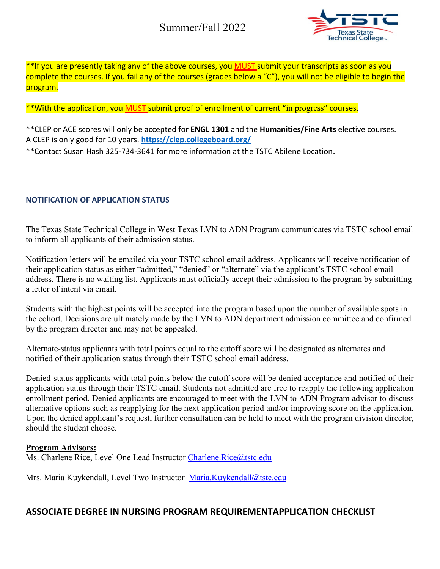

\*\*If you are presently taking any of the above courses, you MUST submit your transcripts as soon as you complete the courses. If you fail any of the courses (grades below a "C"), you will not be eligible to begin the program.

\*\*With the application, you MUST submit proof of enrollment of current "in progress" courses.

\*\*CLEP or ACE scores will only be accepted for **ENGL 1301** and the **Humanities/Fine Arts** elective courses. A CLEP is only good for 10 years. **https://clep.collegeboard.org/**

\*\*Contact Susan Hash 325-734-3641 for more information at the TSTC Abilene Location.

#### **NOTIFICATION OF APPLICATION STATUS**

The Texas State Technical College in West Texas LVN to ADN Program communicates via TSTC school email to inform all applicants of their admission status.

Notification letters will be emailed via your TSTC school email address. Applicants will receive notification of their application status as either "admitted," "denied" or "alternate" via the applicant's TSTC school email address. There is no waiting list. Applicants must officially accept their admission to the program by submitting a letter of intent via email.

Students with the highest points will be accepted into the program based upon the number of available spots in the cohort. Decisions are ultimately made by the LVN to ADN department admission committee and confirmed by the program director and may not be appealed.

Alternate-status applicants with total points equal to the cutoff score will be designated as alternates and notified of their application status through their TSTC school email address.

Denied-status applicants with total points below the cutoff score will be denied acceptance and notified of their application status through their TSTC email. Students not admitted are free to reapply the following application enrollment period. Denied applicants are encouraged to meet with the LVN to ADN Program advisor to discuss alternative options such as reapplying for the next application period and/or improving score on the application. Upon the denied applicant's request, further consultation can be held to meet with the program division director, should the student choose.

#### **Program Advisors:**

Ms. Charlene Rice, Level One Lead Instructor Charlene. Rice@tstc.edu

Mrs. Maria Kuykendall, Level Two Instructor [Maria.Kuykendall@tstc.edu](mailto:Maria.Kuykendall@tstc.edu)

#### **ASSOCIATE DEGREE IN NURSING PROGRAM REQUIREMENTAPPLICATION CHECKLIST**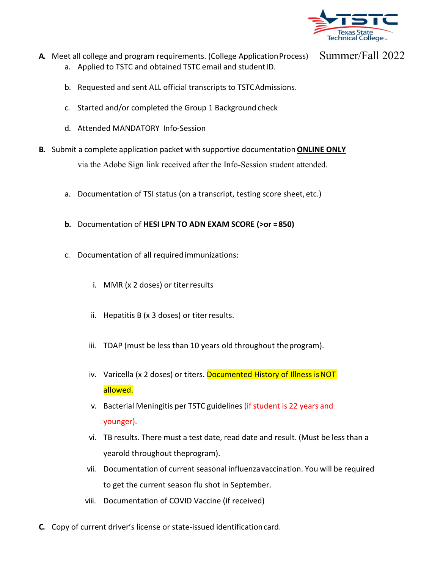

- **A.** Meet all college and program requirements. (College Application Process) a. Applied to TSTC and obtained TSTC email and studentID.
	- b. Requested and sent ALL official transcripts to TSTCAdmissions.
	- c. Started and/or completed the Group 1 Background check
	- d. Attended MANDATORY Info-Session
- **B.** Submit a complete application packet with supportive documentation **ONLINE ONLY** via the Adobe Sign link received after the Info-Session student attended.
	- a. Documentation of TSI status (on a transcript, testing score sheet, etc.)
	- **b.** Documentation of **HESI LPN TO ADN EXAM SCORE (>or =850)**
	- c. Documentation of all requiredimmunizations:
		- i. MMR (x 2 doses) or titerresults
		- ii. Hepatitis B (x 3 doses) or titerresults.
		- iii. TDAP (must be less than 10 years old throughout theprogram).
		- iv. Varicella (x 2 doses) or titers. Documented History of Illness is NOT allowed.
		- v. Bacterial Meningitis per TSTC guidelines (if student is 22 years and younger).
		- vi. TB results. There must a test date, read date and result. (Must be less than a yearold throughout theprogram).
		- vii. Documentation of current seasonal influenzavaccination. You will be required to get the current season flu shot in September.
		- viii. Documentation of COVID Vaccine (if received)
- **C.** Copy of current driver's license or state-issued identificationcard.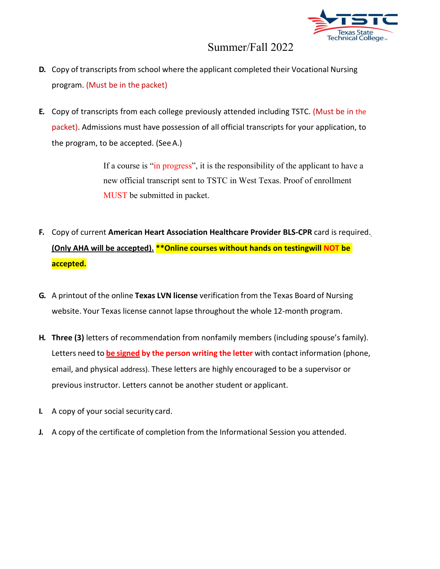

- **D.** Copy of transcripts from school where the applicant completed their Vocational Nursing program. (Must be in the packet)
- **E.** Copy of transcripts from each college previously attended including TSTC. (Must be in the packet). Admissions must have possession of all official transcripts for your application, to the program, to be accepted. (SeeA.)

If a course is "in progress", it is the responsibility of the applicant to have a new official transcript sent to TSTC in West Texas. Proof of enrollment MUST be submitted in packet.

- **F.** Copy of current **American Heart Association Healthcare Provider BLS-CPR** card is required. **(Only AHA will be accepted). \*\*Online courses without hands on testingwill NOT be accepted.**
- **G.** A printout of the online **Texas LVN license** verification from the Texas Board of Nursing website. Your Texas license cannot lapse throughout the whole 12-month program.
- **H. Three (3)** letters of recommendation from nonfamily members (including spouse's family). Letters need to **be signed by the person writing the letter** with contact information (phone, email, and physical address). These letters are highly encouraged to be a supervisor or previous instructor. Letters cannot be another student or applicant.
- **I.** A copy of your social security card.
- **J.** A copy of the certificate of completion from the Informational Session you attended.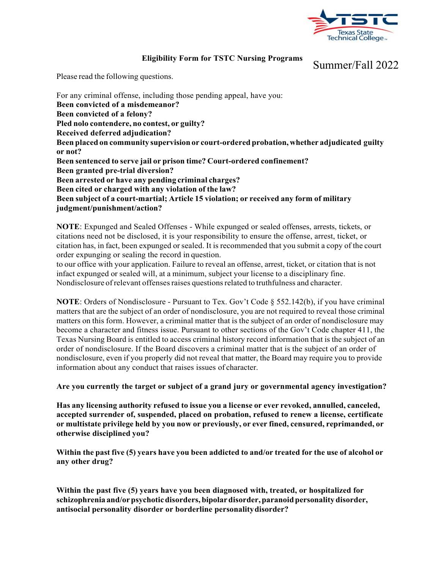

#### **Eligibility Form for TSTC Nursing Programs**

Summer/Fall 2022

Please read the following questions.

For any criminal offense, including those pending appeal, have you: **Been convicted of a misdemeanor? Been convicted of a felony? Pled nolo contendere, no contest, or guilty? Received deferred adjudication? Been placed on community supervision or court-ordered probation, whether adjudicated guilty or not? Been sentenced to serve jail or prison time? Court-ordered confinement? Been granted pre-trial diversion? Been arrested or have any pending criminal charges? Been cited or charged with any violation of the law? Been subject of a court-martial; Article 15 violation; or received any form of military judgment/punishment/action?**

**NOTE**: Expunged and Sealed Offenses - While expunged or sealed offenses, arrests, tickets, or citations need not be disclosed, it is your responsibility to ensure the offense, arrest, ticket, or citation has, in fact, been expunged or sealed. It is recommended that you submit a copy of the court order expunging or sealing the record in question.

to our office with your application. Failure to reveal an offense, arrest, ticket, or citation that is not infact expunged or sealed will, at a minimum, subject your license to a disciplinary fine. Nondisclosure of relevant offenses raises questions related to truthfulness and character.

**NOTE:** Orders of Nondisclosure - Pursuant to Tex. Gov't Code § 552.142(b), if you have criminal matters that are the subject of an order of nondisclosure, you are not required to reveal those criminal matters on this form. However, a criminal matter that is the subject of an order of nondisclosure may become a character and fitness issue. Pursuant to other sections of the Gov't Code chapter 411, the Texas Nursing Board is entitled to access criminal history record information that is the subject of an order of nondisclosure. If the Board discovers a criminal matter that is the subject of an order of nondisclosure, even if you properly did not reveal that matter, the Board may require you to provide information about any conduct that raises issues of character.

**Are you currently the target or subject of a grand jury or governmental agency investigation?**

**Has any licensing authority refused to issue you a license or ever revoked, annulled, canceled, accepted surrender of, suspended, placed on probation, refused to renew a license, certificate or multistate privilege held by you now or previously, or ever fined, censured, reprimanded, or otherwise disciplined you?**

Within the past five (5) years have you been addicted to and/or treated for the use of alcohol or **any other drug?**

**Within the past five (5) years have you been diagnosed with, treated, or hospitalized for schizophrenia and/orpsychoticdisorders, bipolardisorder,paranoid personality disorder, antisocial personality disorder or borderline personalitydisorder?**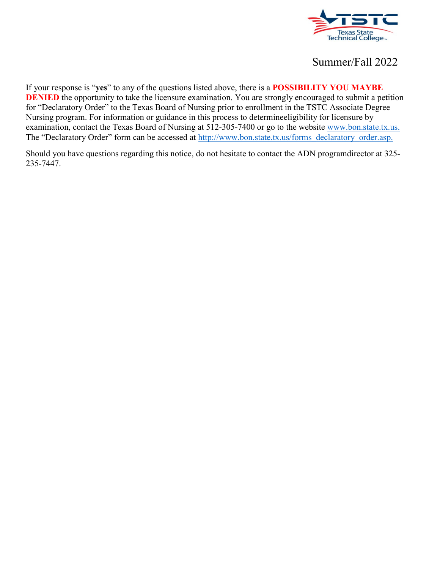

If your response is "**yes**" to any of the questions listed above, there is a **POSSIBILITY YOU MAYBE DENIED** the opportunity to take the licensure examination. You are strongly encouraged to submit a petition for "Declaratory Order" to the Texas Board of Nursing prior to enrollment in the TSTC Associate Degree Nursing program. For information or guidance in this process to determineeligibility for licensure by examination, contact the Texas Board of Nursing at 512-305-7400 or go to the website [www.bon.state.tx.us.](http://www.bon.state.tx.us/)  The "Declaratory Order" form can be accessed at [http://www.bon.state.tx.us/forms\\_declaratory\\_order.asp.](http://www.bon.state.tx.us/forms_declaratory_order.asp)

Should you have questions regarding this notice, do not hesitate to contact the ADN programdirector at 325- 235-7447.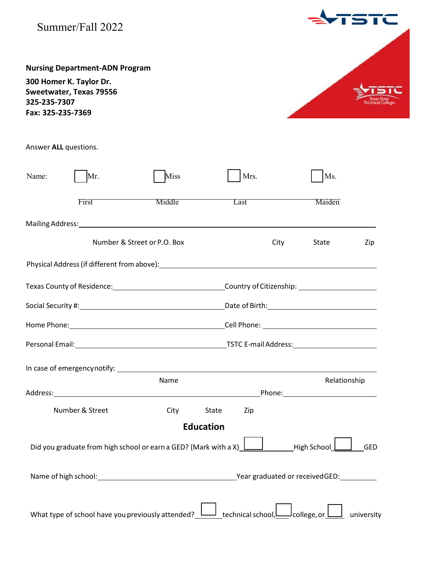| Summer/Fall 2022                                                                                                                                                                                                               |                                                                  |              |                                                      |            |
|--------------------------------------------------------------------------------------------------------------------------------------------------------------------------------------------------------------------------------|------------------------------------------------------------------|--------------|------------------------------------------------------|------------|
| <b>Nursing Department-ADN Program</b><br>300 Homer K. Taylor Dr.<br>Sweetwater, Texas 79556<br>325-235-7307<br>Fax: 325-235-7369                                                                                               |                                                                  |              |                                                      |            |
| Answer ALL questions.                                                                                                                                                                                                          |                                                                  |              |                                                      |            |
| Mr.<br>Name:                                                                                                                                                                                                                   | Miss                                                             | Mrs.         | Ms.                                                  |            |
| First                                                                                                                                                                                                                          | Middle                                                           | Last         | Maiden                                               |            |
| Mailing Address: No. 2006. The Contract of the Contract of the Contract of the Contract of the Contract of the Contract of the Contract of the Contract of the Contract of the Contract of the Contract of the Contract of the |                                                                  |              |                                                      |            |
|                                                                                                                                                                                                                                | Number & Street or P.O. Box                                      | City         | State                                                | Zip        |
|                                                                                                                                                                                                                                |                                                                  |              |                                                      |            |
|                                                                                                                                                                                                                                |                                                                  |              |                                                      |            |
| Home Phone:                                                                                                                                                                                                                    | <u> 1989 - Johann Barn, mars ar breithinn ar chuid ann an t-</u> | Cell Phone:  | <u> 1989 - Johann Barn, fransk politik (d. 1989)</u> |            |
|                                                                                                                                                                                                                                |                                                                  |              |                                                      |            |
|                                                                                                                                                                                                                                | Name                                                             |              | Relationship                                         |            |
|                                                                                                                                                                                                                                |                                                                  |              |                                                      |            |
| Number & Street                                                                                                                                                                                                                | City                                                             | State<br>Zip |                                                      |            |
| Did you graduate from high school or earn a GED? (Mark with a X) $\;$ L                                                                                                                                                        | <b>Education</b>                                                 |              | High School                                          | <b>GED</b> |
|                                                                                                                                                                                                                                |                                                                  |              |                                                      |            |

| What type of school have you previously attended? $\Box$ technical school, $\Box$ college, or $\Box$ university |  |  |  |
|-----------------------------------------------------------------------------------------------------------------|--|--|--|
|                                                                                                                 |  |  |  |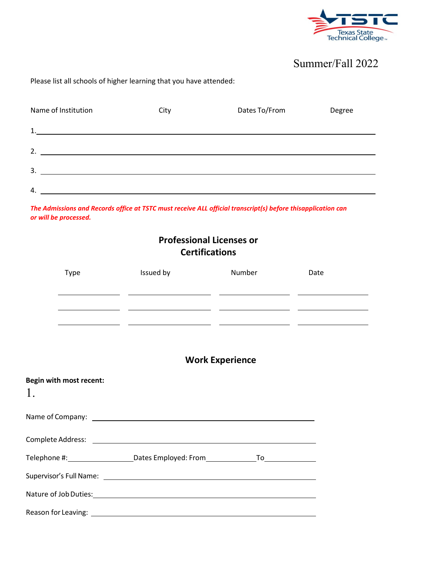

#### Please list all schools of higher learning that you have attended:

| Name of Institution | City | Dates To/From | Degree |
|---------------------|------|---------------|--------|
| 1.                  |      |               |        |
| 2.                  |      |               |        |
| 3.                  |      |               |        |
| 4.                  |      |               |        |

*The Admissions and Records office at TSTC must receive ALL official transcript(s) before thisapplication can or will be processed.*

# **Professional Licenses or Certifications**

| Type                                                                                  | Issued by                                                                                                                                           | Number                 | Date |
|---------------------------------------------------------------------------------------|-----------------------------------------------------------------------------------------------------------------------------------------------------|------------------------|------|
|                                                                                       | <u> 1990 - Jan James James, martin amerikan (h. 1980).</u><br><u> 1989 - Andrea Andrew Maria (b. 1989), president eta aldean erroman (h. 1989).</u> |                        |      |
|                                                                                       | <u> 1990 - Jan James James, maria eta idazleari (h. 1908).</u>                                                                                      |                        |      |
|                                                                                       |                                                                                                                                                     | <b>Work Experience</b> |      |
| Begin with most recent:<br>1.                                                         |                                                                                                                                                     |                        |      |
|                                                                                       |                                                                                                                                                     |                        |      |
|                                                                                       |                                                                                                                                                     |                        |      |
| Telephone #: _______________________Dates Employed: From _______________________      |                                                                                                                                                     |                        |      |
|                                                                                       |                                                                                                                                                     |                        |      |
| Nature of Job Duties: 1999 March 2014 1999 March 2014 1999 March 2014 1999 March 2014 |                                                                                                                                                     |                        |      |
|                                                                                       |                                                                                                                                                     |                        |      |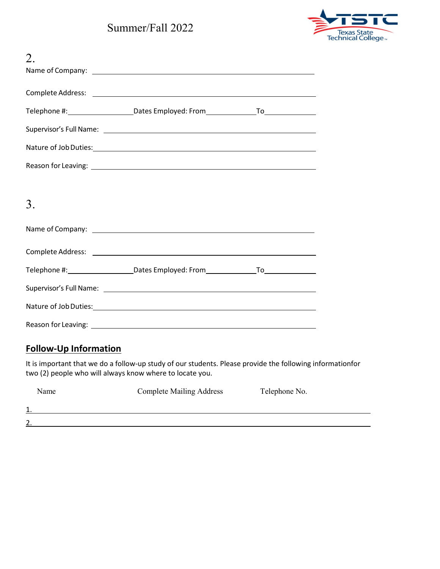

| 2. |                                                                                                                                                                                                                                |  |
|----|--------------------------------------------------------------------------------------------------------------------------------------------------------------------------------------------------------------------------------|--|
|    |                                                                                                                                                                                                                                |  |
|    |                                                                                                                                                                                                                                |  |
|    | Telephone #: ________________________Dates Employed: From________________________                                                                                                                                              |  |
|    | Supervisor's Full Name: <u>contract the contract of the contract of the contract of the contract of the contract of</u>                                                                                                        |  |
|    |                                                                                                                                                                                                                                |  |
|    |                                                                                                                                                                                                                                |  |
|    |                                                                                                                                                                                                                                |  |
| 3. |                                                                                                                                                                                                                                |  |
|    |                                                                                                                                                                                                                                |  |
|    |                                                                                                                                                                                                                                |  |
|    | Telephone #: ________________________Dates Employed: From________________________                                                                                                                                              |  |
|    |                                                                                                                                                                                                                                |  |
|    | Nature of Job Duties: 1988 and 2008 and 2008 and 2008 and 2008 and 2008 and 2008 and 2008 and 2008 and 2008 and 2008 and 2008 and 2008 and 2008 and 2008 and 2008 and 2008 and 2008 and 2008 and 2008 and 2008 and 2008 and 20 |  |
|    |                                                                                                                                                                                                                                |  |

### **Follow-Up Information**

It is important that we do a follow-up study of our students. Please provide the following informationfor two (2) people who will always know where to locate you.

| Name           | <b>Complete Mailing Address</b> | Telephone No. |
|----------------|---------------------------------|---------------|
| 1<br>д.,       |                                 |               |
| $\overline{2}$ |                                 |               |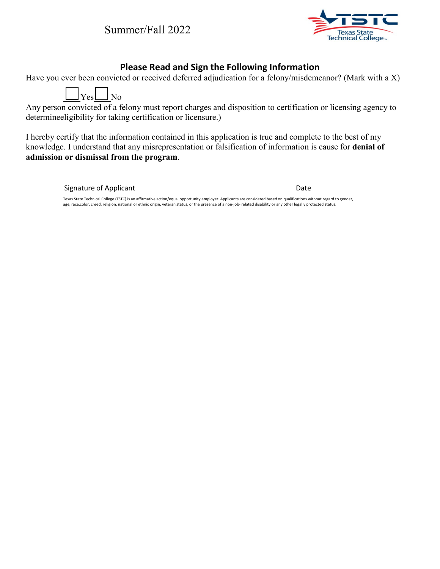

#### **Please Read and Sign the Following Information**

Have you ever been convicted or received deferred adjudication for a felony/misdemeanor? (Mark with a X)



Any person convicted of a felony must report charges and disposition to certification or licensing agency to determineeligibility for taking certification or licensure.)

I hereby certify that the information contained in this application is true and complete to the best of my knowledge. I understand that any misrepresentation or falsification of information is cause for **denial of admission or dismissal from the program**.

Signature of Applicant Date Date Date Date Date

Texas State Technical College (TSTC) is an affirmative action/equal opportunity employer. Applicants are considered based on qualifications without regard to gender, age, race,color, creed, religion, national or ethnic origin, veteran status, or the presence of a non-job- related disability or any other legally protected status.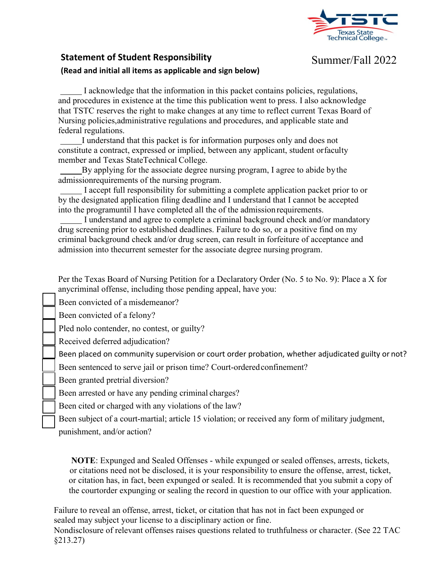

#### **Statement of Student Responsibility**

### Summer/Fall 2022

#### **(Read and initial all items as applicable and sign below)**

I acknowledge that the information in this packet contains policies, regulations, and procedures in existence at the time this publication went to press. I also acknowledge that TSTC reserves the right to make changes at any time to reflect current Texas Board of Nursing policies,administrative regulations and procedures, and applicable state and federal regulations.

I understand that this packet is for information purposes only and does not constitute a contract, expressed or implied, between any applicant, student or faculty member and Texas StateTechnical College.

By applying for the associate degree nursing program, I agree to abide by the admissionrequirements of the nursing program.

I accept full responsibility for submitting a complete application packet prior to or by the designated application filing deadline and I understand that I cannot be accepted into the programuntil I have completed all the of the admission requirements.

I understand and agree to complete a criminal background check and/or mandatory drug screening prior to established deadlines. Failure to do so, or a positive find on my criminal background check and/or drug screen, can result in forfeiture of acceptance and admission into thecurrent semester for the associate degree nursing program.

Per the Texas Board of Nursing Petition for a Declaratory Order (No. 5 to No. 9): Place a X for anycriminal offense, including those pending appeal, have you:

Been convicted of a misdemeanor?

Been convicted of a felony?

Pled nolo contender, no contest, or guilty?

Received deferred adjudication?

Been placed on community supervision or court order probation, whether adjudicated guilty or not?

Been sentenced to serve jail or prison time? Court-orderedconfinement?

Been granted pretrial diversion?

Been arrested or have any pending criminal charges?

Been cited or charged with any violations of the law?

Been subject of a court-martial; article 15 violation; or received any form of military judgment,

punishment, and/or action?

**NOTE**: Expunged and Sealed Offenses - while expunged or sealed offenses, arrests, tickets, or citations need not be disclosed, it is your responsibility to ensure the offense, arrest, ticket, or citation has, in fact, been expunged or sealed. It is recommended that you submit a copy of the courtorder expunging or sealing the record in question to our office with your application.

Failure to reveal an offense, arrest, ticket, or citation that has not in fact been expunged or sealed may subject your license to a disciplinary action or fine.

Nondisclosure of relevant offenses raises questions related to truthfulness or character. (See 22 TAC §213.27)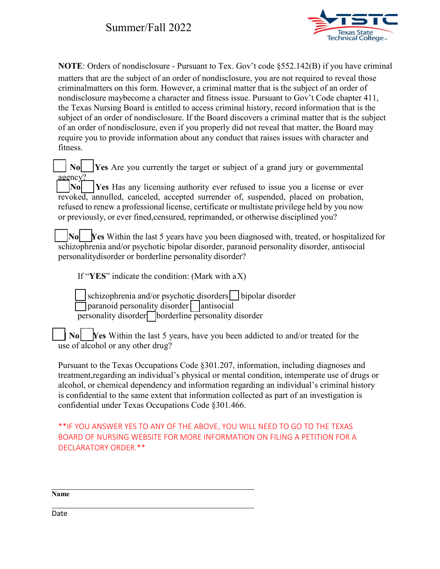

**NOTE**: Orders of nondisclosure - Pursuant to Tex. Gov't code §552.142(B) if you have criminal matters that are the subject of an order of nondisclosure, you are not required to reveal those criminalmatters on this form. However, a criminal matter that is the subject of an order of nondisclosure maybecome a character and fitness issue. Pursuant to Gov't Code chapter 411, the Texas Nursing Board is entitled to access criminal history, record information that is the subject of an order of nondisclosure. If the Board discovers a criminal matter that is the subject of an order of nondisclosure, even if you properly did not reveal that matter, the Board may require you to provide information about any conduct that raises issues with character and fitness.

**No [Yes** Are you currently the target or subject of a grand jury or governmental agency? [ ] **No** [ ] **Yes** Has any licensing authority ever refused to issue you a license or ever revoked, annulled, canceled, accepted surrender of, suspended, placed on probation, refused to renew a professional license, certificate or multistate privilege held by you now or previously, or ever fined,censured, reprimanded, or otherwise disciplined you?

[ ] **No** [ ] **Yes** Within the last 5 years have you been diagnosed with, treated, or hospitalized for schizophrenia and/or psychotic bipolar disorder, paranoid personality disorder, antisocial personalitydisorder or borderline personality disorder?

If "**YES**" indicate the condition: (Mark with aX)

schizophrenia and/or psychotic disorders | lipolar disorder  $\Box$  paranoid personality disorder  $|$  antisocial personality disorder[ ] borderline personality disorder

**[No] [Yes** Within the last 5 years, have you been addicted to and/or treated for the use of alcohol or any other drug?

Pursuant to the Texas Occupations Code §301.207, information, including diagnoses and treatment,regarding an individual's physical or mental condition, intemperate use of drugs or alcohol, or chemical dependency and information regarding an individual's criminal history is confidential to the same extent that information collected as part of an investigation is confidential under Texas Occupations Code §301.466.

\*\*IF YOU ANSWER YES TO ANY OF THE ABOVE, YOU WILL NEED TO GO TO THE TEXAS BOARD OF NURSING WEBSITE FOR MORE INFORMATION ON FILING A PETITION FOR A DECLARATORY ORDER.\*\*

**Name**

Date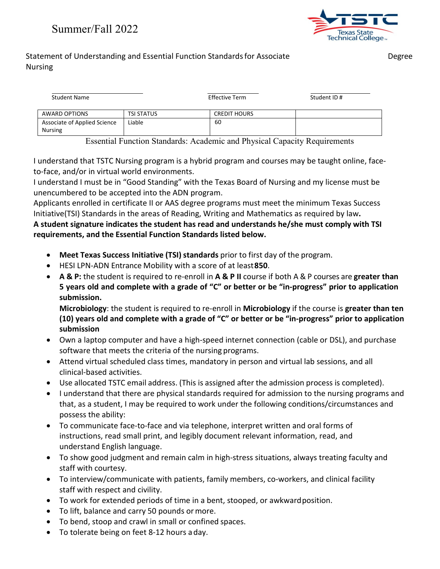

#### Statement of Understanding and Essential Function Standards for Associate Theorem Degree Nursing

| <b>Student Name</b>                            |                   | <b>Effective Term</b> | Student ID# |
|------------------------------------------------|-------------------|-----------------------|-------------|
| AWARD OPTIONS                                  | <b>TSI STATUS</b> | <b>CREDIT HOURS</b>   |             |
| Associate of Applied Science<br><b>Nursing</b> | Liable            | 60                    |             |

Essential Function Standards: Academic and Physical Capacity Requirements

I understand that TSTC Nursing program is a hybrid program and courses may be taught online, faceto-face, and/or in virtual world environments.

I understand I must be in "Good Standing" with the Texas Board of Nursing and my license must be unencumbered to be accepted into the ADN program.

Applicants enrolled in certificate II or AAS degree programs must meet the minimum Texas Success Initiative(TSI) Standards in the areas of Reading, Writing and Mathematics as required by law**. A student signature indicates the student has read and understands he/she must comply with TSI requirements, and the Essential Function Standards listed below.**

- **Meet Texas Success Initiative (TSI) standards** prior to first day of the program.
- HESI LPN-ADN Entrance Mobility with a score of at least**850**.
- **A & P:** the student is required to re-enroll in **A & P II** course if both A & P courses are **greater than 5 years old and complete with a grade of "C" or better or be "in-progress" prior to application submission.**

**Microbiology**: the student is required to re-enroll in **Microbiology** if the course is **greater than ten (10) years old and complete with a grade of "C" or better or be "in-progress" prior to application submission**

- Own a laptop computer and have a high-speed internet connection (cable or DSL), and purchase software that meets the criteria of the nursing programs.
- Attend virtual scheduled class times, mandatory in person and virtual lab sessions, and all clinical-based activities.
- Use allocated TSTC email address. (This is assigned after the admission process is completed).
- I understand that there are physical standards required for admission to the nursing programs and that, as a student, I may be required to work under the following conditions/circumstances and possess the ability:
- To communicate face-to-face and via telephone, interpret written and oral forms of instructions, read small print, and legibly document relevant information, read, and understand English language.
- To show good judgment and remain calm in high-stress situations, always treating faculty and staff with courtesy.
- To interview/communicate with patients, family members, co-workers, and clinical facility staff with respect and civility.
- To work for extended periods of time in a bent, stooped, or awkwardposition.
- To lift, balance and carry 50 pounds ormore.
- To bend, stoop and crawl in small or confined spaces.
- To tolerate being on feet 8-12 hours aday.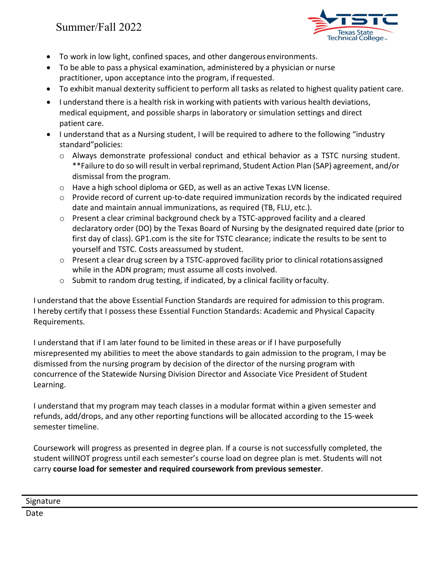

- To work in low light, confined spaces, and other dangerousenvironments.
- To be able to pass a physical examination, administered by a physician or nurse practitioner, upon acceptance into the program, ifrequested.
- To exhibit manual dexterity sufficient to perform all tasks as related to highest quality patient care.
- I understand there is a health risk in working with patients with various health deviations, medical equipment, and possible sharps in laboratory or simulation settings and direct patient care.
- I understand that as a Nursing student, I will be required to adhere to the following "industry standard"policies:
	- o Always demonstrate professional conduct and ethical behavior as a TSTC nursing student. \*\*Failure to do so will result in verbal reprimand, Student Action Plan (SAP) agreement, and/or dismissal from the program.
	- o Have a high school diploma or GED, as well as an active Texas LVN license.
	- o Provide record of current up-to-date required immunization records by the indicated required date and maintain annual immunizations, as required (TB, FLU, etc.).
	- $\circ$  Present a clear criminal background check by a TSTC-approved facility and a cleared declaratory order (DO) by the Texas Board of Nursing by the designated required date (prior to first day of class). GP1.com is the site for TSTC clearance; indicate the results to be sent to yourself and TSTC. Costs areassumed by student.
	- $\circ$  Present a clear drug screen by a TSTC-approved facility prior to clinical rotations assigned while in the ADN program; must assume all costs involved.
	- o Submit to random drug testing, if indicated, by a clinical facility orfaculty.

I understand that the above Essential Function Standards are required for admission to this program. I hereby certify that I possess these Essential Function Standards: Academic and Physical Capacity Requirements.

I understand that if I am later found to be limited in these areas or if I have purposefully misrepresented my abilities to meet the above standards to gain admission to the program, I may be dismissed from the nursing program by decision of the director of the nursing program with concurrence of the Statewide Nursing Division Director and Associate Vice President of Student Learning.

I understand that my program may teach classes in a modular format within a given semester and refunds, add/drops, and any other reporting functions will be allocated according to the 15-week semester timeline.

Coursework will progress as presented in degree plan. If a course is not successfully completed, the student willNOT progress until each semester's course load on degree plan is met. Students will not carry **course load for semester and required coursework from previous semester**.

Date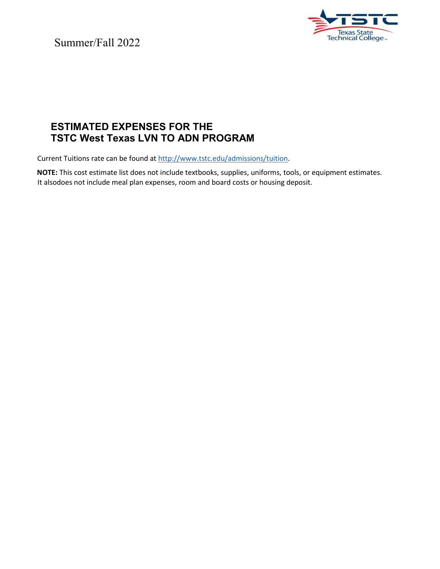

### **ESTIMATED EXPENSES FOR THE TSTC West Texas LVN TO ADN PROGRAM**

Current Tuitions rate can be found at [http://www.tstc.edu/admissions/tuition.](http://www.tstc.edu/admissions/tuition)

**NOTE:** This cost estimate list does not include textbooks, supplies, uniforms, tools, or equipment estimates. It alsodoes not include meal plan expenses, room and board costs or housing deposit.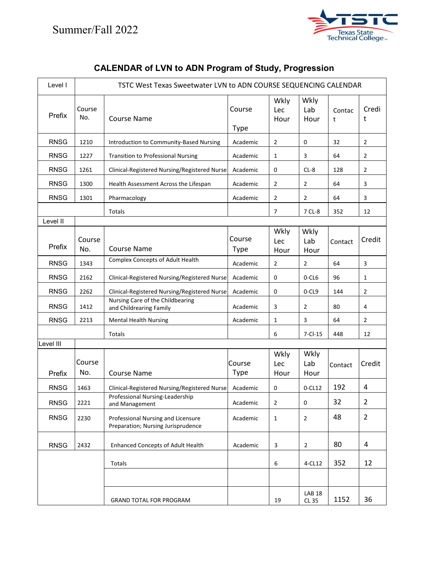

| Level I     |               | TSTC West Texas Sweetwater LVN to ADN COURSE SEQUENCING CALENDAR         |                       |                     |                               |             |                |
|-------------|---------------|--------------------------------------------------------------------------|-----------------------|---------------------|-------------------------------|-------------|----------------|
| Prefix      | Course<br>No. | <b>Course Name</b>                                                       | Course<br><b>Type</b> | Wkly<br>Lec<br>Hour | Wkly<br>Lab<br>Hour           | Contac<br>t | Credi<br>t     |
| <b>RNSG</b> | 1210          | Introduction to Community-Based Nursing                                  | Academic              | $\overline{2}$      | 0                             | 32          | 2              |
| <b>RNSG</b> | 1227          | <b>Transition to Professional Nursing</b>                                | Academic              | 1                   | 3                             | 64          | 2              |
| <b>RNSG</b> | 1261          | Clinical-Registered Nursing/Registered Nurse                             | Academic              | 0                   | $CL-8$                        | 128         | 2              |
| <b>RNSG</b> | 1300          | Health Assessment Across the Lifespan                                    | Academic              | 2                   | 2                             | 64          | 3              |
| <b>RNSG</b> | 1301          | Pharmacology                                                             | Academic              | $\overline{2}$      | 2                             | 64          | 3              |
|             |               | Totals                                                                   |                       | $\overline{7}$      | 7 CL-8                        | 352         | 12             |
| Level II    |               |                                                                          |                       |                     |                               |             |                |
| Prefix      | Course<br>No. | <b>Course Name</b>                                                       | Course<br><b>Type</b> | Wkly<br>Lec<br>Hour | Wkly<br>Lab<br>Hour           | Contact     | Credit         |
| <b>RNSG</b> | 1343          | Complex Concepts of Adult Health                                         | Academic              | $\overline{2}$      | 2                             | 64          | 3              |
| <b>RNSG</b> | 2162          | Clinical-Registered Nursing/Registered Nurse                             | Academic              | 0                   | 0-CL6                         | 96          | 1              |
| <b>RNSG</b> | 2262          | Clinical-Registered Nursing/Registered Nurse                             | Academic              | 0                   | 0-CL9                         | 144         | 2              |
| <b>RNSG</b> | 1412          | Nursing Care of the Childbearing<br>and Childrearing Family              | Academic              | 3                   | 2                             | 80          | 4              |
| <b>RNSG</b> | 2213          | <b>Mental Health Nursing</b>                                             | Academic              | 1                   | 3                             | 64          | 2              |
|             |               | Totals                                                                   |                       | 6                   | $7 - C1 - 15$                 | 448         | 12             |
| Level III   |               |                                                                          |                       |                     |                               |             |                |
| Prefix      | Course<br>No. | <b>Course Name</b>                                                       | Course<br><b>Type</b> | Wkly<br>Lec<br>Hour | Wkly<br>Lab<br>Hour           | Contact     | Credit         |
| <b>RNSG</b> | 1463          | Clinical-Registered Nursing/Registered Nurse                             | Academic              | 0                   | $0 - CL12$                    | 192         | 4              |
| <b>RNSG</b> | 2221          | Professional Nursing-Leadership<br>and Management                        | Academic              | $\overline{2}$      | $\pmb{0}$                     | 32          | $\overline{2}$ |
| <b>RNSG</b> | 2230          | Professional Nursing and Licensure<br>Preparation; Nursing Jurisprudence | Academic              | $\mathbf{1}$        | $\overline{2}$                | 48          | $\overline{2}$ |
| <b>RNSG</b> | 2432          | <b>Enhanced Concepts of Adult Health</b>                                 | Academic              | 3                   | $\overline{2}$                | 80          | 4              |
|             |               | Totals                                                                   |                       | 6                   | 4-CL12                        | 352         | 12             |
|             |               |                                                                          |                       |                     |                               |             |                |
|             |               | <b>GRAND TOTAL FOR PROGRAM</b>                                           |                       | 19                  | <b>LAB 18</b><br><b>CL 35</b> | 1152        | 36             |

# **CALENDAR of LVN to ADN Program of Study, Progression**